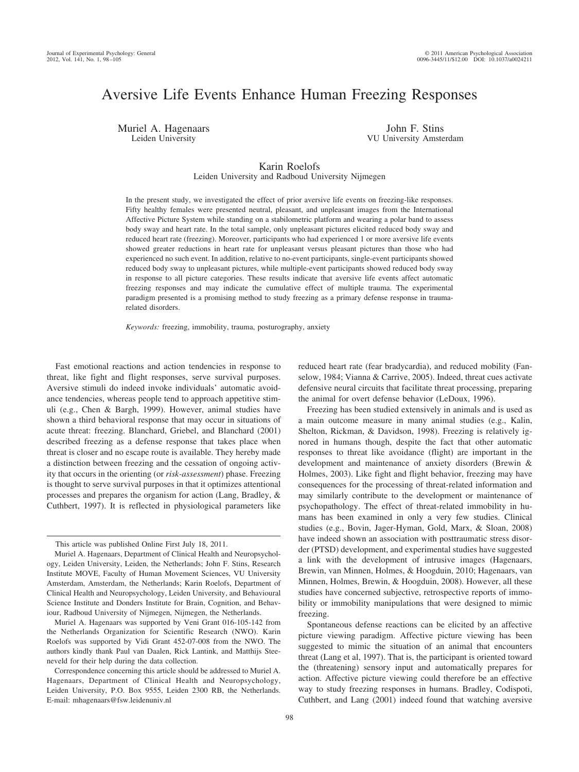# Aversive Life Events Enhance Human Freezing Responses

Muriel A. Hagenaars Leiden University

John F. Stins VU University Amsterdam

reduced heart rate (fear bradycardia), and reduced mobility (Fanselow, 1984; Vianna & Carrive, 2005). Indeed, threat cues activate defensive neural circuits that facilitate threat processing, preparing

Freezing has been studied extensively in animals and is used as a main outcome measure in many animal studies (e.g., Kalin, Shelton, Rickman, & Davidson, 1998). Freezing is relatively ignored in humans though, despite the fact that other automatic responses to threat like avoidance (flight) are important in the development and maintenance of anxiety disorders (Brewin & Holmes, 2003). Like fight and flight behavior, freezing may have consequences for the processing of threat-related information and may similarly contribute to the development or maintenance of psychopathology. The effect of threat-related immobility in humans has been examined in only a very few studies. Clinical studies (e.g., Bovin, Jager-Hyman, Gold, Marx, & Sloan, 2008) have indeed shown an association with posttraumatic stress disorder (PTSD) development, and experimental studies have suggested a link with the development of intrusive images (Hagenaars, Brewin, van Minnen, Holmes, & Hoogduin, 2010; Hagenaars, van Minnen, Holmes, Brewin, & Hoogduin, 2008). However, all these studies have concerned subjective, retrospective reports of immobility or immobility manipulations that were designed to mimic

the animal for overt defense behavior (LeDoux, 1996).

# Karin Roelofs

Leiden University and Radboud University Nijmegen

In the present study, we investigated the effect of prior aversive life events on freezing-like responses. Fifty healthy females were presented neutral, pleasant, and unpleasant images from the International Affective Picture System while standing on a stabilometric platform and wearing a polar band to assess body sway and heart rate. In the total sample, only unpleasant pictures elicited reduced body sway and reduced heart rate (freezing). Moreover, participants who had experienced 1 or more aversive life events showed greater reductions in heart rate for unpleasant versus pleasant pictures than those who had experienced no such event. In addition, relative to no-event participants, single-event participants showed reduced body sway to unpleasant pictures, while multiple-event participants showed reduced body sway in response to all picture categories. These results indicate that aversive life events affect automatic freezing responses and may indicate the cumulative effect of multiple trauma. The experimental paradigm presented is a promising method to study freezing as a primary defense response in traumarelated disorders.

*Keywords:* freezing, immobility, trauma, posturography, anxiety

Fast emotional reactions and action tendencies in response to threat, like fight and flight responses, serve survival purposes. Aversive stimuli do indeed invoke individuals' automatic avoidance tendencies, whereas people tend to approach appetitive stimuli (e.g., Chen & Bargh, 1999). However, animal studies have shown a third behavioral response that may occur in situations of acute threat: freezing. Blanchard, Griebel, and Blanchard (2001) described freezing as a defense response that takes place when threat is closer and no escape route is available. They hereby made a distinction between freezing and the cessation of ongoing activity that occurs in the orienting (or *risk-assessment*) phase. Freezing is thought to serve survival purposes in that it optimizes attentional processes and prepares the organism for action (Lang, Bradley, & Cuthbert, 1997). It is reflected in physiological parameters like

Muriel A. Hagenaars was supported by Veni Grant 016-105-142 from the Netherlands Organization for Scientific Research (NWO). Karin Roelofs was supported by Vidi Grant 452-07-008 from the NWO. The authors kindly thank Paul van Daalen, Rick Lantink, and Matthijs Steeneveld for their help during the data collection.

Correspondence concerning this article should be addressed to Muriel A. Hagenaars, Department of Clinical Health and Neuropsychology, Leiden University, P.O. Box 9555, Leiden 2300 RB, the Netherlands. E-mail: mhagenaars@fsw.leidenuniv.nl

Spontaneous defense reactions can be elicited by an affective

picture viewing paradigm. Affective picture viewing has been suggested to mimic the situation of an animal that encounters threat (Lang et al, 1997). That is, the participant is oriented toward the (threatening) sensory input and automatically prepares for action. Affective picture viewing could therefore be an effective way to study freezing responses in humans. Bradley, Codispoti, Cuthbert, and Lang (2001) indeed found that watching aversive

freezing.

This article was published Online First July 18, 2011.

Muriel A. Hagenaars, Department of Clinical Health and Neuropsychology, Leiden University, Leiden, the Netherlands; John F. Stins, Research Institute MOVE, Faculty of Human Movement Sciences, VU University Amsterdam, Amsterdam, the Netherlands; Karin Roelofs, Department of Clinical Health and Neuropsychology, Leiden University, and Behavioural Science Institute and Donders Institute for Brain, Cognition, and Behaviour, Radboud University of Nijmegen, Nijmegen, the Netherlands.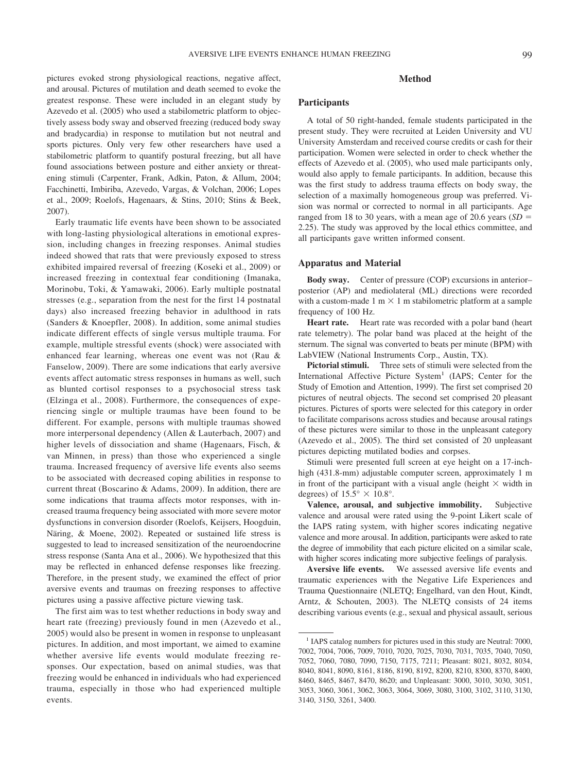pictures evoked strong physiological reactions, negative affect, and arousal. Pictures of mutilation and death seemed to evoke the greatest response. These were included in an elegant study by Azevedo et al. (2005) who used a stabilometric platform to objectively assess body sway and observed freezing (reduced body sway and bradycardia) in response to mutilation but not neutral and sports pictures. Only very few other researchers have used a stabilometric platform to quantify postural freezing, but all have found associations between posture and either anxiety or threatening stimuli (Carpenter, Frank, Adkin, Paton, & Allum, 2004; Facchinetti, Imbiriba, Azevedo, Vargas, & Volchan, 2006; Lopes et al., 2009; Roelofs, Hagenaars, & Stins, 2010; Stins & Beek, 2007).

Early traumatic life events have been shown to be associated with long-lasting physiological alterations in emotional expression, including changes in freezing responses. Animal studies indeed showed that rats that were previously exposed to stress exhibited impaired reversal of freezing (Koseki et al., 2009) or increased freezing in contextual fear conditioning (Imanaka, Morinobu, Toki, & Yamawaki, 2006). Early multiple postnatal stresses (e.g., separation from the nest for the first 14 postnatal days) also increased freezing behavior in adulthood in rats (Sanders & Knoepfler, 2008). In addition, some animal studies indicate different effects of single versus multiple trauma. For example, multiple stressful events (shock) were associated with enhanced fear learning, whereas one event was not (Rau & Fanselow, 2009). There are some indications that early aversive events affect automatic stress responses in humans as well, such as blunted cortisol responses to a psychosocial stress task (Elzinga et al., 2008). Furthermore, the consequences of experiencing single or multiple traumas have been found to be different. For example, persons with multiple traumas showed more interpersonal dependency (Allen & Lauterbach, 2007) and higher levels of dissociation and shame (Hagenaars, Fisch, & van Minnen, in press) than those who experienced a single trauma. Increased frequency of aversive life events also seems to be associated with decreased coping abilities in response to current threat (Boscarino & Adams, 2009). In addition, there are some indications that trauma affects motor responses, with increased trauma frequency being associated with more severe motor dysfunctions in conversion disorder (Roelofs, Keijsers, Hoogduin, Näring, & Moene, 2002). Repeated or sustained life stress is suggested to lead to increased sensitization of the neuroendocrine stress response (Santa Ana et al., 2006). We hypothesized that this may be reflected in enhanced defense responses like freezing. Therefore, in the present study, we examined the effect of prior aversive events and traumas on freezing responses to affective pictures using a passive affective picture viewing task.

The first aim was to test whether reductions in body sway and heart rate (freezing) previously found in men (Azevedo et al., 2005) would also be present in women in response to unpleasant pictures. In addition, and most important, we aimed to examine whether aversive life events would modulate freezing responses. Our expectation, based on animal studies, was that freezing would be enhanced in individuals who had experienced trauma, especially in those who had experienced multiple events.

# **Method**

## **Participants**

A total of 50 right-handed, female students participated in the present study. They were recruited at Leiden University and VU University Amsterdam and received course credits or cash for their participation. Women were selected in order to check whether the effects of Azevedo et al. (2005), who used male participants only, would also apply to female participants. In addition, because this was the first study to address trauma effects on body sway, the selection of a maximally homogeneous group was preferred. Vision was normal or corrected to normal in all participants. Age ranged from 18 to 30 years, with a mean age of 20.6 years (*SD* 2.25). The study was approved by the local ethics committee, and all participants gave written informed consent.

## **Apparatus and Material**

**Body sway.** Center of pressure (COP) excursions in anterior– posterior (AP) and mediolateral (ML) directions were recorded with a custom-made  $1 \text{ m} \times 1 \text{ m}$  stabilometric platform at a sample frequency of 100 Hz.

**Heart rate.** Heart rate was recorded with a polar band (heart rate telemetry). The polar band was placed at the height of the sternum. The signal was converted to beats per minute (BPM) with LabVIEW (National Instruments Corp., Austin, TX).

**Pictorial stimuli.** Three sets of stimuli were selected from the International Affective Picture System<sup>1</sup> (IAPS; Center for the Study of Emotion and Attention, 1999). The first set comprised 20 pictures of neutral objects. The second set comprised 20 pleasant pictures. Pictures of sports were selected for this category in order to facilitate comparisons across studies and because arousal ratings of these pictures were similar to those in the unpleasant category (Azevedo et al., 2005). The third set consisted of 20 unpleasant pictures depicting mutilated bodies and corpses.

Stimuli were presented full screen at eye height on a 17-inchhigh (431.8-mm) adjustable computer screen, approximately 1 m in front of the participant with a visual angle (height  $\times$  width in degrees) of  $15.5^{\circ} \times 10.8^{\circ}$ .

**Valence, arousal, and subjective immobility.** Subjective valence and arousal were rated using the 9-point Likert scale of the IAPS rating system, with higher scores indicating negative valence and more arousal. In addition, participants were asked to rate the degree of immobility that each picture elicited on a similar scale, with higher scores indicating more subjective feelings of paralysis.

**Aversive life events.** We assessed aversive life events and traumatic experiences with the Negative Life Experiences and Trauma Questionnaire (NLETQ; Engelhard, van den Hout, Kindt, Arntz, & Schouten, 2003). The NLETQ consists of 24 items describing various events (e.g., sexual and physical assault, serious

<sup>&</sup>lt;sup>1</sup> IAPS catalog numbers for pictures used in this study are Neutral: 7000, 7002, 7004, 7006, 7009, 7010, 7020, 7025, 7030, 7031, 7035, 7040, 7050, 7052, 7060, 7080, 7090, 7150, 7175, 7211; Pleasant: 8021, 8032, 8034, 8040, 8041, 8090, 8161, 8186, 8190, 8192, 8200, 8210, 8300, 8370, 8400, 8460, 8465, 8467, 8470, 8620; and Unpleasant: 3000, 3010, 3030, 3051, 3053, 3060, 3061, 3062, 3063, 3064, 3069, 3080, 3100, 3102, 3110, 3130, 3140, 3150, 3261, 3400.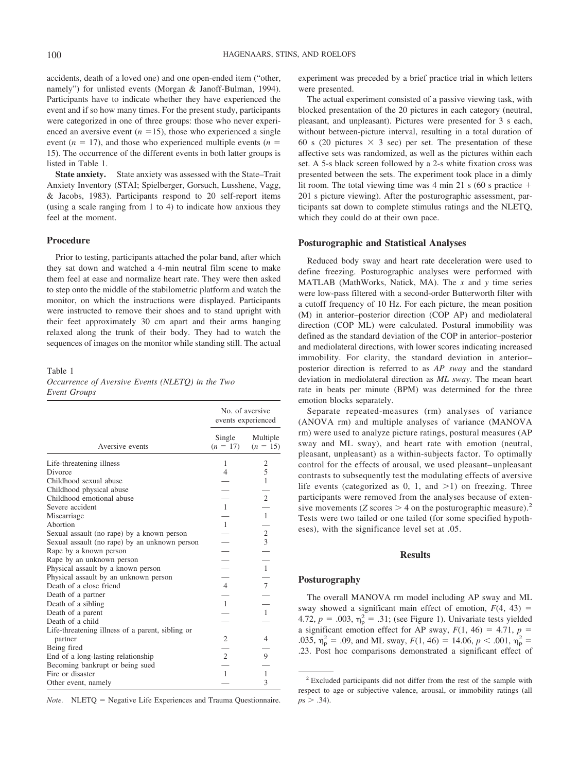accidents, death of a loved one) and one open-ended item ("other, namely") for unlisted events (Morgan & Janoff-Bulman, 1994). Participants have to indicate whether they have experienced the event and if so how many times. For the present study, participants were categorized in one of three groups: those who never experienced an aversive event  $(n = 15)$ , those who experienced a single event ( $n = 17$ ), and those who experienced multiple events ( $n =$ 15). The occurrence of the different events in both latter groups is listed in Table 1.

**State anxiety.** State anxiety was assessed with the State–Trait Anxiety Inventory (STAI; Spielberger, Gorsuch, Lusshene, Vagg, & Jacobs, 1983). Participants respond to 20 self-report items (using a scale ranging from 1 to 4) to indicate how anxious they feel at the moment.

# **Procedure**

Prior to testing, participants attached the polar band, after which they sat down and watched a 4-min neutral film scene to make them feel at ease and normalize heart rate. They were then asked to step onto the middle of the stabilometric platform and watch the monitor, on which the instructions were displayed. Participants were instructed to remove their shoes and to stand upright with their feet approximately 30 cm apart and their arms hanging relaxed along the trunk of their body. They had to watch the sequences of images on the monitor while standing still. The actual

Table 1 *Occurrence of Aversive Events (NLETQ) in the Two Event Groups*

|                                                  | No. of aversive<br>events experienced |                                       |  |
|--------------------------------------------------|---------------------------------------|---------------------------------------|--|
| Aversive events                                  | Single<br>$(n = 17)$                  | Multiple<br>$(n = 15)$                |  |
| Life-threatening illness                         | 1                                     | 2                                     |  |
| Divorce                                          | $\overline{4}$                        | 5                                     |  |
| Childhood sexual abuse                           |                                       | $\mathbf{1}$                          |  |
| Childhood physical abuse                         |                                       |                                       |  |
| Childhood emotional abuse                        |                                       | $\overline{2}$                        |  |
| Severe accident                                  | $\mathbf{1}$                          |                                       |  |
| Miscarriage                                      |                                       | $\mathbf{1}$                          |  |
| Abortion                                         | $\mathbf{1}$                          |                                       |  |
| Sexual assault (no rape) by a known person       |                                       |                                       |  |
| Sexual assault (no rape) by an unknown person    |                                       | $\begin{array}{c} 2 \\ 3 \end{array}$ |  |
| Rape by a known person                           |                                       |                                       |  |
| Rape by an unknown person                        |                                       |                                       |  |
| Physical assault by a known person               |                                       | $\mathbf{1}$                          |  |
| Physical assault by an unknown person            |                                       |                                       |  |
| Death of a close friend                          | $\overline{4}$                        | $\boldsymbol{7}$                      |  |
| Death of a partner                               |                                       |                                       |  |
| Death of a sibling                               | $\mathbf{1}$                          |                                       |  |
| Death of a parent                                |                                       | $1\,$                                 |  |
| Death of a child                                 |                                       |                                       |  |
| Life-threatening illness of a parent, sibling or |                                       |                                       |  |
| partner                                          | $\mathfrak{2}$                        | 4                                     |  |
| Being fired                                      |                                       |                                       |  |
| End of a long-lasting relationship               | $\overline{2}$                        | 9                                     |  |
| Becoming bankrupt or being sued                  |                                       |                                       |  |
| Fire or disaster                                 | $\mathbf{1}$                          | $\mathbf{1}$                          |  |
| Other event, namely                              |                                       | 3                                     |  |

*Note.* NLETQ = Negative Life Experiences and Trauma Questionnaire.

experiment was preceded by a brief practice trial in which letters were presented.

The actual experiment consisted of a passive viewing task, with blocked presentation of the 20 pictures in each category (neutral, pleasant, and unpleasant). Pictures were presented for 3 s each, without between-picture interval, resulting in a total duration of 60 s (20 pictures  $\times$  3 sec) per set. The presentation of these affective sets was randomized, as well as the pictures within each set. A 5-s black screen followed by a 2-s white fixation cross was presented between the sets. The experiment took place in a dimly lit room. The total viewing time was 4 min 21 s  $(60 \text{ s practice } +$ 201 s picture viewing). After the posturographic assessment, participants sat down to complete stimulus ratings and the NLETQ, which they could do at their own pace.

#### **Posturographic and Statistical Analyses**

Reduced body sway and heart rate deceleration were used to define freezing. Posturographic analyses were performed with MATLAB (MathWorks, Natick, MA). The *x* and *y* time series were low-pass filtered with a second-order Butterworth filter with a cutoff frequency of 10 Hz. For each picture, the mean position (M) in anterior–posterior direction (COP AP) and mediolateral direction (COP ML) were calculated. Postural immobility was defined as the standard deviation of the COP in anterior–posterior and mediolateral directions, with lower scores indicating increased immobility. For clarity, the standard deviation in anterior– posterior direction is referred to as *AP sway* and the standard deviation in mediolateral direction as *ML sway*. The mean heart rate in beats per minute (BPM) was determined for the three emotion blocks separately.

Separate repeated-measures (rm) analyses of variance (ANOVA rm) and multiple analyses of variance (MANOVA rm) were used to analyze picture ratings, postural measures (AP sway and ML sway), and heart rate with emotion (neutral, pleasant, unpleasant) as a within-subjects factor. To optimally control for the effects of arousal, we used pleasant– unpleasant contrasts to subsequently test the modulating effects of aversive life events (categorized as 0, 1, and  $>1$ ) on freezing. Three participants were removed from the analyses because of extensive movements ( $Z$  scores  $> 4$  on the posturographic measure).<sup>2</sup> Tests were two tailed or one tailed (for some specified hypotheses), with the significance level set at .05.

#### **Results**

## **Posturography**

The overall MANOVA rm model including AP sway and ML sway showed a significant main effect of emotion,  $F(4, 43) =$ 4.72,  $p = .003$ ,  $\eta_p^2 = .31$ ; (see Figure 1). Univariate tests yielded a significant emotion effect for AP sway,  $F(1, 46) = 4.71$ ,  $p =$ .035,  $\eta_p^2 = .09$ , and ML sway,  $F(1, 46) = 14.06$ ,  $p < .001$ ,  $\eta_p^2 =$ .23. Post hoc comparisons demonstrated a significant effect of

<sup>2</sup> Excluded participants did not differ from the rest of the sample with respect to age or subjective valence, arousal, or immobility ratings (all  $p s > .34$ ).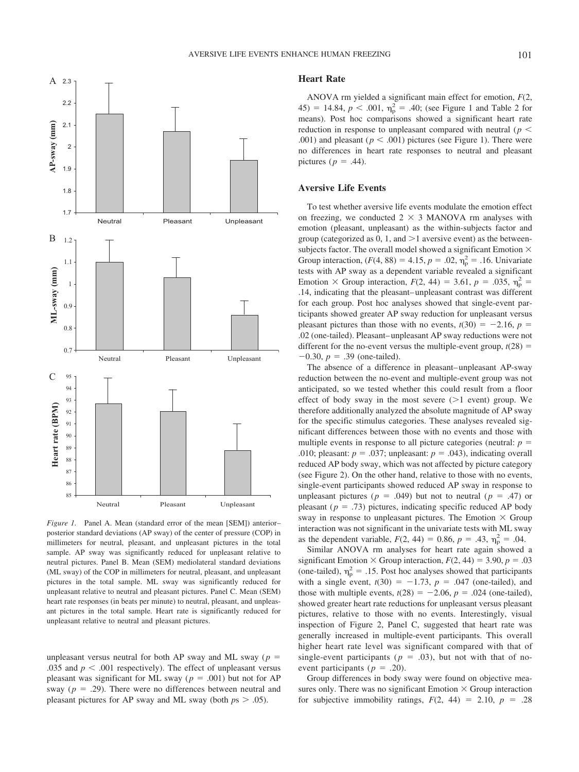

*Figure 1.* Panel A. Mean (standard error of the mean [SEM]) anterior– posterior standard deviations (AP sway) of the center of pressure (COP) in millimeters for neutral, pleasant, and unpleasant pictures in the total sample. AP sway was significantly reduced for unpleasant relative to neutral pictures. Panel B. Mean (SEM) mediolateral standard deviations (ML sway) of the COP in millimeters for neutral, pleasant, and unpleasant pictures in the total sample. ML sway was significantly reduced for unpleasant relative to neutral and pleasant pictures. Panel C. Mean (SEM) heart rate responses (in beats per minute) to neutral, pleasant, and unpleasant pictures in the total sample. Heart rate is significantly reduced for unpleasant relative to neutral and pleasant pictures.

unpleasant versus neutral for both AP sway and ML sway ( $p =$ .035 and  $p < .001$  respectively). The effect of unpleasant versus pleasant was significant for ML sway ( $p = .001$ ) but not for AP sway ( $p = .29$ ). There were no differences between neutral and pleasant pictures for AP sway and ML sway (both  $p_s > .05$ ).

# **Heart Rate**

ANOVA rm yielded a significant main effect for emotion, *F*(2,  $(45) = 14.84, p < .001, \eta_p^2 = .40$ ; (see Figure 1 and Table 2 for means). Post hoc comparisons showed a significant heart rate reduction in response to unpleasant compared with neutral ( $p <$ .001) and pleasant ( $p < .001$ ) pictures (see Figure 1). There were no differences in heart rate responses to neutral and pleasant pictures ( $p = .44$ ).

## **Aversive Life Events**

To test whether aversive life events modulate the emotion effect on freezing, we conducted  $2 \times 3$  MANOVA rm analyses with emotion (pleasant, unpleasant) as the within-subjects factor and group (categorized as  $0, 1$ , and  $>1$  aversive event) as the betweensubjects factor. The overall model showed a significant Emotion  $\times$ Group interaction,  $(F(4, 88) = 4.15, p = .02, \eta_p^2 = .16$ . Univariate tests with AP sway as a dependent variable revealed a significant Emotion  $\times$  Group interaction,  $F(2, 44) = 3.61$ ,  $p = .035$ ,  $\eta_p^2 =$ .14, indicating that the pleasant– unpleasant contrast was different for each group. Post hoc analyses showed that single-event participants showed greater AP sway reduction for unpleasant versus pleasant pictures than those with no events,  $t(30) = -2.16$ ,  $p =$ .02 (one-tailed). Pleasant– unpleasant AP sway reductions were not different for the no-event versus the multiple-event group,  $t(28)$  =  $-0.30, p = .39$  (one-tailed).

The absence of a difference in pleasant–unpleasant AP-sway reduction between the no-event and multiple-event group was not anticipated, so we tested whether this could result from a floor effect of body sway in the most severe  $(>1$  event) group. We therefore additionally analyzed the absolute magnitude of AP sway for the specific stimulus categories. These analyses revealed significant differences between those with no events and those with multiple events in response to all picture categories (neutral:  $p =$ .010; pleasant:  $p = .037$ ; unpleasant:  $p = .043$ ), indicating overall reduced AP body sway, which was not affected by picture category (see Figure 2). On the other hand, relative to those with no events, single-event participants showed reduced AP sway in response to unpleasant pictures ( $p = .049$ ) but not to neutral ( $p = .47$ ) or pleasant ( $p = .73$ ) pictures, indicating specific reduced AP body sway in response to unpleasant pictures. The Emotion  $\times$  Group interaction was not significant in the univariate tests with ML sway as the dependent variable,  $F(2, 44) = 0.86$ ,  $p = .43$ ,  $\eta_p^2 = .04$ .

Similar ANOVA rm analyses for heart rate again showed a significant Emotion  $\times$  Group interaction,  $F(2, 44) = 3.90, p = .03$ (one-tailed),  $\eta_p^2 = .15$ . Post hoc analyses showed that participants with a single event,  $t(30) = -1.73$ ,  $p = .047$  (one-tailed), and those with multiple events,  $t(28) = -2.06$ ,  $p = .024$  (one-tailed), showed greater heart rate reductions for unpleasant versus pleasant pictures, relative to those with no events. Interestingly, visual inspection of Figure 2, Panel C, suggested that heart rate was generally increased in multiple-event participants. This overall higher heart rate level was significant compared with that of single-event participants ( $p = .03$ ), but not with that of noevent participants ( $p = .20$ ).

Group differences in body sway were found on objective measures only. There was no significant Emotion  $\times$  Group interaction for subjective immobility ratings,  $F(2, 44) = 2.10$ ,  $p = .28$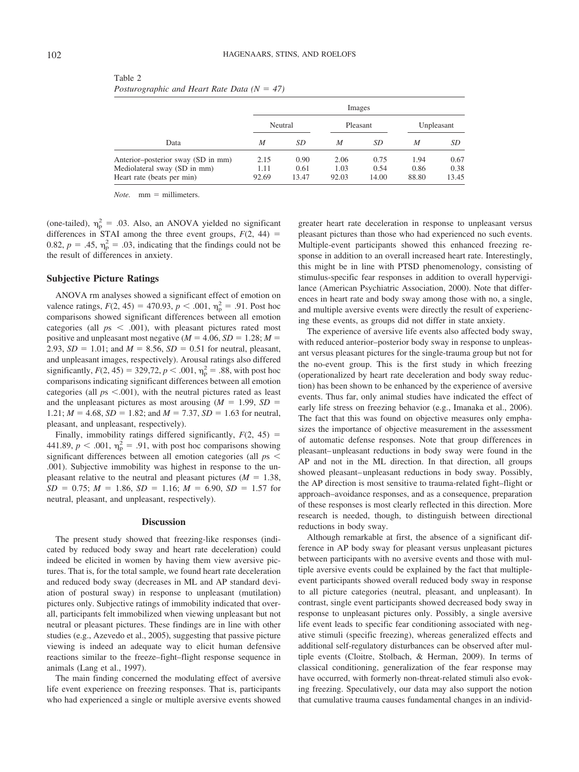|                                                                    | Images       |              |              |              |              |              |  |  |
|--------------------------------------------------------------------|--------------|--------------|--------------|--------------|--------------|--------------|--|--|
|                                                                    | Neutral      |              | Pleasant     |              | Unpleasant   |              |  |  |
| Data                                                               | M            | SD           | M            | SD           | M            | SD           |  |  |
| Anterior-posterior sway (SD in mm)<br>Mediolateral sway (SD in mm) | 2.15<br>1.11 | 0.90<br>0.61 | 2.06<br>1.03 | 0.75<br>0.54 | 1.94<br>0.86 | 0.67<br>0.38 |  |  |

Heart rate (beats per min) 92.69 13.47 92.03 14.00 88.80 13.45

Table 2 *Posturographic and Heart Rate Data (N 47)*

 $Note.$  mm = millimeters.

(one-tailed),  $\eta_p^2 = .03$ . Also, an ANOVA yielded no significant differences in STAI among the three event groups,  $F(2, 44)$  = 0.82,  $p = .45$ ,  $\eta_p^2 = .03$ , indicating that the findings could not be the result of differences in anxiety.

## **Subjective Picture Ratings**

ANOVA rm analyses showed a significant effect of emotion on valence ratings,  $F(2, 45) = 470.93$ ,  $p < .001$ ,  $\eta_p^2 = .91$ . Post hoc comparisons showed significant differences between all emotion categories (all  $ps < .001$ ), with pleasant pictures rated most positive and unpleasant most negative ( $M = 4.06$ ,  $SD = 1.28$ ;  $M =$ 2.93,  $SD = 1.01$ ; and  $M = 8.56$ ,  $SD = 0.51$  for neutral, pleasant, and unpleasant images, respectively). Arousal ratings also differed significantly,  $F(2, 45) = 329,72, p < .001, \eta_{\rm p}^2 = .88$ , with post hoc comparisons indicating significant differences between all emotion categories (all  $ps < .001$ ), with the neutral pictures rated as least and the unpleasant pictures as most arousing  $(M = 1.99, SD =$ 1.21;  $M = 4.68$ ,  $SD = 1.82$ ; and  $M = 7.37$ ,  $SD = 1.63$  for neutral, pleasant, and unpleasant, respectively).

Finally, immobility ratings differed significantly,  $F(2, 45) =$ 441.89,  $p < .001$ ,  $\eta_p^2 = .91$ , with post hoc comparisons showing significant differences between all emotion categories (all *p*s .001). Subjective immobility was highest in response to the unpleasant relative to the neutral and pleasant pictures  $(M = 1.38)$ ,  $SD = 0.75$ ;  $M = 1.86$ ,  $SD = 1.16$ ;  $M = 6.90$ ,  $SD = 1.57$  for neutral, pleasant, and unpleasant, respectively).

### **Discussion**

The present study showed that freezing-like responses (indicated by reduced body sway and heart rate deceleration) could indeed be elicited in women by having them view aversive pictures. That is, for the total sample, we found heart rate deceleration and reduced body sway (decreases in ML and AP standard deviation of postural sway) in response to unpleasant (mutilation) pictures only. Subjective ratings of immobility indicated that overall, participants felt immobilized when viewing unpleasant but not neutral or pleasant pictures. These findings are in line with other studies (e.g., Azevedo et al., 2005), suggesting that passive picture viewing is indeed an adequate way to elicit human defensive reactions similar to the freeze–fight–flight response sequence in animals (Lang et al., 1997).

The main finding concerned the modulating effect of aversive life event experience on freezing responses. That is, participants who had experienced a single or multiple aversive events showed

greater heart rate deceleration in response to unpleasant versus pleasant pictures than those who had experienced no such events. Multiple-event participants showed this enhanced freezing response in addition to an overall increased heart rate. Interestingly, this might be in line with PTSD phenomenology, consisting of stimulus-specific fear responses in addition to overall hypervigilance (American Psychiatric Association, 2000). Note that differences in heart rate and body sway among those with no, a single, and multiple aversive events were directly the result of experiencing these events, as groups did not differ in state anxiety.

The experience of aversive life events also affected body sway, with reduced anterior–posterior body sway in response to unpleasant versus pleasant pictures for the single-trauma group but not for the no-event group. This is the first study in which freezing (operationalized by heart rate deceleration and body sway reduction) has been shown to be enhanced by the experience of aversive events. Thus far, only animal studies have indicated the effect of early life stress on freezing behavior (e.g., Imanaka et al., 2006). The fact that this was found on objective measures only emphasizes the importance of objective measurement in the assessment of automatic defense responses. Note that group differences in pleasant– unpleasant reductions in body sway were found in the AP and not in the ML direction. In that direction, all groups showed pleasant– unpleasant reductions in body sway. Possibly, the AP direction is most sensitive to trauma-related fight–flight or approach–avoidance responses, and as a consequence, preparation of these responses is most clearly reflected in this direction. More research is needed, though, to distinguish between directional reductions in body sway.

Although remarkable at first, the absence of a significant difference in AP body sway for pleasant versus unpleasant pictures between participants with no aversive events and those with multiple aversive events could be explained by the fact that multipleevent participants showed overall reduced body sway in response to all picture categories (neutral, pleasant, and unpleasant). In contrast, single event participants showed decreased body sway in response to unpleasant pictures only. Possibly, a single aversive life event leads to specific fear conditioning associated with negative stimuli (specific freezing), whereas generalized effects and additional self-regulatory disturbances can be observed after multiple events (Cloitre, Stolbach, & Herman, 2009). In terms of classical conditioning, generalization of the fear response may have occurred, with formerly non-threat-related stimuli also evoking freezing. Speculatively, our data may also support the notion that cumulative trauma causes fundamental changes in an individ-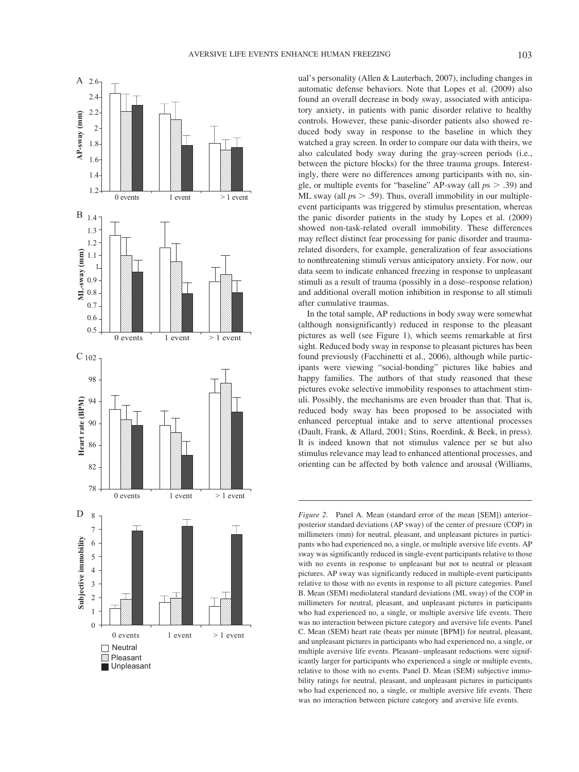

ual's personality (Allen & Lauterbach, 2007), including changes in automatic defense behaviors. Note that Lopes et al. (2009) also found an overall decrease in body sway, associated with anticipatory anxiety, in patients with panic disorder relative to healthy controls. However, these panic-disorder patients also showed reduced body sway in response to the baseline in which they watched a gray screen. In order to compare our data with theirs, we also calculated body sway during the gray-screen periods (i.e., between the picture blocks) for the three trauma groups. Interestingly, there were no differences among participants with no, single, or multiple events for "baseline" AP-sway (all *p*s .39) and ML sway (all  $ps > .59$ ). Thus, overall immobility in our multipleevent participants was triggered by stimulus presentation, whereas the panic disorder patients in the study by Lopes et al. (2009) showed non-task-related overall immobility. These differences may reflect distinct fear processing for panic disorder and traumarelated disorders, for example, generalization of fear associations to nonthreatening stimuli versus anticipatory anxiety. For now, our data seem to indicate enhanced freezing in response to unpleasant stimuli as a result of trauma (possibly in a dose–response relation) and additional overall motion inhibition in response to all stimuli after cumulative traumas.

In the total sample, AP reductions in body sway were somewhat (although nonsignificantly) reduced in response to the pleasant pictures as well (see Figure 1), which seems remarkable at first sight. Reduced body sway in response to pleasant pictures has been found previously (Facchinetti et al., 2006), although while participants were viewing "social-bonding" pictures like babies and happy families. The authors of that study reasoned that these pictures evoke selective immobility responses to attachment stimuli. Possibly, the mechanisms are even broader than that. That is, reduced body sway has been proposed to be associated with enhanced perceptual intake and to serve attentional processes (Dault, Frank, & Allard, 2001; Stins, Roerdink, & Beek, in press). It is indeed known that not stimulus valence per se but also stimulus relevance may lead to enhanced attentional processes, and orienting can be affected by both valence and arousal (Williams,

*Figure 2.* Panel A. Mean (standard error of the mean [SEM]) anterior– posterior standard deviations (AP sway) of the center of pressure (COP) in millimeters (mm) for neutral, pleasant, and unpleasant pictures in participants who had experienced no, a single, or multiple aversive life events. AP sway was significantly reduced in single-event participants relative to those with no events in response to unpleasant but not to neutral or pleasant pictures. AP sway was significantly reduced in multiple-event participants relative to those with no events in response to all picture categories. Panel B. Mean (SEM) mediolateral standard deviations (ML sway) of the COP in millimeters for neutral, pleasant, and unpleasant pictures in participants who had experienced no, a single, or multiple aversive life events. There was no interaction between picture category and aversive life events. Panel C. Mean (SEM) heart rate (beats per minute [BPM]) for neutral, pleasant, and unpleasant pictures in participants who had experienced no, a single, or multiple aversive life events. Pleasant– unpleasant reductions were significantly larger for participants who experienced a single or multiple events, relative to those with no events. Panel D. Mean (SEM) subjective immobility ratings for neutral, pleasant, and unpleasant pictures in participants who had experienced no, a single, or multiple aversive life events. There was no interaction between picture category and aversive life events.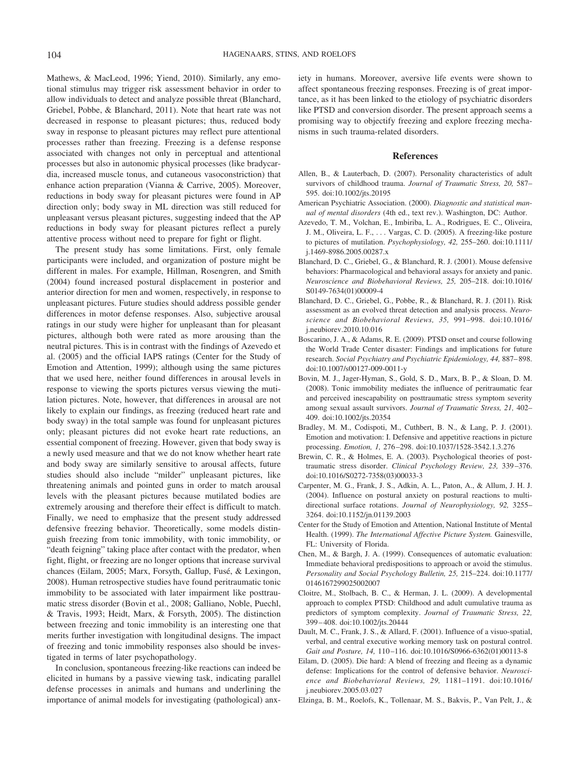Mathews, & MacLeod, 1996; Yiend, 2010). Similarly, any emotional stimulus may trigger risk assessment behavior in order to allow individuals to detect and analyze possible threat (Blanchard, Griebel, Pobbe, & Blanchard, 2011). Note that heart rate was not decreased in response to pleasant pictures; thus, reduced body sway in response to pleasant pictures may reflect pure attentional processes rather than freezing. Freezing is a defense response associated with changes not only in perceptual and attentional processes but also in autonomic physical processes (like bradycardia, increased muscle tonus, and cutaneous vasoconstriction) that enhance action preparation (Vianna & Carrive, 2005). Moreover, reductions in body sway for pleasant pictures were found in AP direction only; body sway in ML direction was still reduced for unpleasant versus pleasant pictures, suggesting indeed that the AP reductions in body sway for pleasant pictures reflect a purely attentive process without need to prepare for fight or flight.

The present study has some limitations. First, only female participants were included, and organization of posture might be different in males. For example, Hillman, Rosengren, and Smith (2004) found increased postural displacement in posterior and anterior direction for men and women, respectively, in response to unpleasant pictures. Future studies should address possible gender differences in motor defense responses. Also, subjective arousal ratings in our study were higher for unpleasant than for pleasant pictures, although both were rated as more arousing than the neutral pictures. This is in contrast with the findings of Azevedo et al. (2005) and the official IAPS ratings (Center for the Study of Emotion and Attention, 1999); although using the same pictures that we used here, neither found differences in arousal levels in response to viewing the sports pictures versus viewing the mutilation pictures. Note, however, that differences in arousal are not likely to explain our findings, as freezing (reduced heart rate and body sway) in the total sample was found for unpleasant pictures only; pleasant pictures did not evoke heart rate reductions, an essential component of freezing. However, given that body sway is a newly used measure and that we do not know whether heart rate and body sway are similarly sensitive to arousal affects, future studies should also include "milder" unpleasant pictures, like threatening animals and pointed guns in order to match arousal levels with the pleasant pictures because mutilated bodies are extremely arousing and therefore their effect is difficult to match. Finally, we need to emphasize that the present study addressed defensive freezing behavior. Theoretically, some models distinguish freezing from tonic immobility, with tonic immobility, or "death feigning" taking place after contact with the predator, when fight, flight, or freezing are no longer options that increase survival chances (Eilam, 2005; Marx, Forsyth, Gallup, Fusé, & Lexingon, 2008). Human retrospective studies have found peritraumatic tonic immobility to be associated with later impairment like posttraumatic stress disorder (Bovin et al., 2008; Galliano, Noble, Puechl, & Travis, 1993; Heidt, Marx, & Forsyth, 2005). The distinction between freezing and tonic immobility is an interesting one that merits further investigation with longitudinal designs. The impact of freezing and tonic immobility responses also should be investigated in terms of later psychopathology.

In conclusion, spontaneous freezing-like reactions can indeed be elicited in humans by a passive viewing task, indicating parallel defense processes in animals and humans and underlining the importance of animal models for investigating (pathological) anxiety in humans. Moreover, aversive life events were shown to affect spontaneous freezing responses. Freezing is of great importance, as it has been linked to the etiology of psychiatric disorders like PTSD and conversion disorder. The present approach seems a promising way to objectify freezing and explore freezing mechanisms in such trauma-related disorders.

#### **References**

- Allen, B., & Lauterbach, D. (2007). Personality characteristics of adult survivors of childhood trauma. *Journal of Traumatic Stress, 20,* 587– 595. doi:10.1002/jts.20195
- American Psychiatric Association. (2000). *Diagnostic and statistical manual of mental disorders* (4th ed., text rev.). Washington, DC: Author.
- Azevedo, T. M., Volchan, E., Imbiriba, L. A., Rodrigues, E. C., Oliveira, J. M., Oliveira, L. F., . . . Vargas, C. D. (2005). A freezing-like posture to pictures of mutilation. *Psychophysiology, 42,* 255–260. doi:10.1111/ j.1469-8986.2005.00287.x
- Blanchard, D. C., Griebel, G., & Blanchard, R. J. (2001). Mouse defensive behaviors: Pharmacological and behavioral assays for anxiety and panic. *Neuroscience and Biobehavioral Reviews, 25,* 205–218. doi:10.1016/ S0149-7634(01)00009-4
- Blanchard, D. C., Griebel, G., Pobbe, R., & Blanchard, R. J. (2011). Risk assessment as an evolved threat detection and analysis process. *Neuroscience and Biobehavioral Reviews, 35,* 991–998. doi:10.1016/ j.neubiorev.2010.10.016
- Boscarino, J. A., & Adams, R. E. (2009). PTSD onset and course following the World Trade Center disaster: Findings and implications for future research. *Social Psychiatry and Psychiatric Epidemiology, 44,* 887– 898. doi:10.1007/s00127-009-0011-y
- Bovin, M. J., Jager-Hyman, S., Gold, S. D., Marx, B. P., & Sloan, D. M. (2008). Tonic immobility mediates the influence of peritraumatic fear and perceived inescapability on posttraumatic stress symptom severity among sexual assault survivors. *Journal of Traumatic Stress, 21,* 402– 409. doi:10.1002/jts.20354
- Bradley, M. M., Codispoti, M., Cuthbert, B. N., & Lang, P. J. (2001). Emotion and motivation: I. Defensive and appetitive reactions in picture processing. *Emotion, 1,* 276 –298. doi:10.1037/1528-3542.1.3.276
- Brewin, C. R., & Holmes, E. A. (2003). Psychological theories of posttraumatic stress disorder. *Clinical Psychology Review, 23,* 339 –376. doi:10.1016/S0272-7358(03)00033-3
- Carpenter, M. G., Frank, J. S., Adkin, A. L., Paton, A., & Allum, J. H. J. (2004). Influence on postural anxiety on postural reactions to multidirectional surface rotations. *Journal of Neurophysiology, 92,* 3255– 3264. doi:10.1152/jn.01139.2003
- Center for the Study of Emotion and Attention, National Institute of Mental Health. (1999). *The International Affective Picture System.* Gainesville, FL: University of Florida.
- Chen, M., & Bargh, J. A. (1999). Consequences of automatic evaluation: Immediate behavioral predispositions to approach or avoid the stimulus. *Personality and Social Psychology Bulletin, 25,* 215–224. doi:10.1177/ 0146167299025002007
- Cloitre, M., Stolbach, B. C., & Herman, J. L. (2009). A developmental approach to complex PTSD: Childhood and adult cumulative trauma as predictors of symptom complexity. *Journal of Traumatic Stress, 22,* 399 – 408. doi:10.1002/jts.20444
- Dault, M. C., Frank, J. S., & Allard, F. (2001). Influence of a visuo-spatial, verbal, and central executive working memory task on postural control. *Gait and Posture, 14,* 110 –116. doi:10.1016/S0966-6362(01)00113-8
- Eilam, D. (2005). Die hard: A blend of freezing and fleeing as a dynamic defense: Implications for the control of defensive behavior. *Neuroscience and Biobehavioral Reviews, 29,* 1181–1191. doi:10.1016/ j.neubiorev.2005.03.027
- Elzinga, B. M., Roelofs, K., Tollenaar, M. S., Bakvis, P., Van Pelt, J., &